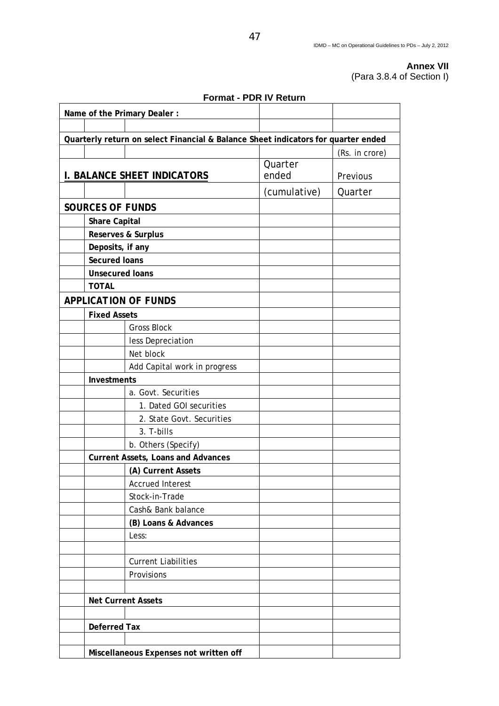## **Annex VII**  (Para 3.8.4 of Section I)

|                                                                                   |                         | Format - PDR IV Return                    |                  |                |
|-----------------------------------------------------------------------------------|-------------------------|-------------------------------------------|------------------|----------------|
|                                                                                   |                         | Name of the Primary Dealer :              |                  |                |
|                                                                                   |                         |                                           |                  |                |
| Quarterly return on select Financial & Balance Sheet indicators for quarter ended |                         |                                           |                  |                |
|                                                                                   |                         |                                           |                  | (Rs. in crore) |
|                                                                                   |                         | <b>I. BALANCE SHEET INDICATORS</b>        | Quarter<br>ended | Previous       |
|                                                                                   |                         |                                           | (cumulative)     | Quarter        |
|                                                                                   | <b>SOURCES OF FUNDS</b> |                                           |                  |                |
|                                                                                   | <b>Share Capital</b>    |                                           |                  |                |
|                                                                                   |                         | Reserves & Surplus                        |                  |                |
|                                                                                   | Deposits, if any        |                                           |                  |                |
|                                                                                   | <b>Secured loans</b>    |                                           |                  |                |
|                                                                                   | <b>Unsecured loans</b>  |                                           |                  |                |
|                                                                                   | <b>TOTAL</b>            |                                           |                  |                |
|                                                                                   |                         | <b>APPLICATION OF FUNDS</b>               |                  |                |
|                                                                                   | <b>Fixed Assets</b>     |                                           |                  |                |
|                                                                                   |                         | <b>Gross Block</b>                        |                  |                |
|                                                                                   |                         | less Depreciation                         |                  |                |
|                                                                                   |                         | Net block                                 |                  |                |
|                                                                                   |                         | Add Capital work in progress              |                  |                |
|                                                                                   | Investments             |                                           |                  |                |
|                                                                                   |                         | a. Govt. Securities                       |                  |                |
|                                                                                   |                         | 1. Dated GOI securities                   |                  |                |
|                                                                                   |                         | 2. State Govt. Securities                 |                  |                |
|                                                                                   |                         | 3. T-bills                                |                  |                |
|                                                                                   |                         | b. Others (Specify)                       |                  |                |
|                                                                                   |                         | <b>Current Assets, Loans and Advances</b> |                  |                |
|                                                                                   |                         | (A) Current Assets                        |                  |                |
|                                                                                   |                         | <b>Accrued Interest</b>                   |                  |                |
|                                                                                   |                         | Stock-in-Trade                            |                  |                |
|                                                                                   |                         | Cash& Bank balance                        |                  |                |
|                                                                                   |                         | (B) Loans & Advances                      |                  |                |
|                                                                                   |                         | Less:                                     |                  |                |
|                                                                                   |                         |                                           |                  |                |
|                                                                                   |                         | <b>Current Liabilities</b>                |                  |                |
|                                                                                   |                         | Provisions                                |                  |                |
|                                                                                   |                         |                                           |                  |                |
|                                                                                   |                         | <b>Net Current Assets</b>                 |                  |                |
|                                                                                   |                         |                                           |                  |                |
|                                                                                   | <b>Deferred Tax</b>     |                                           |                  |                |
|                                                                                   |                         |                                           |                  |                |
|                                                                                   |                         | Miscellaneous Expenses not written off    |                  |                |

**Format - PDR IV Return**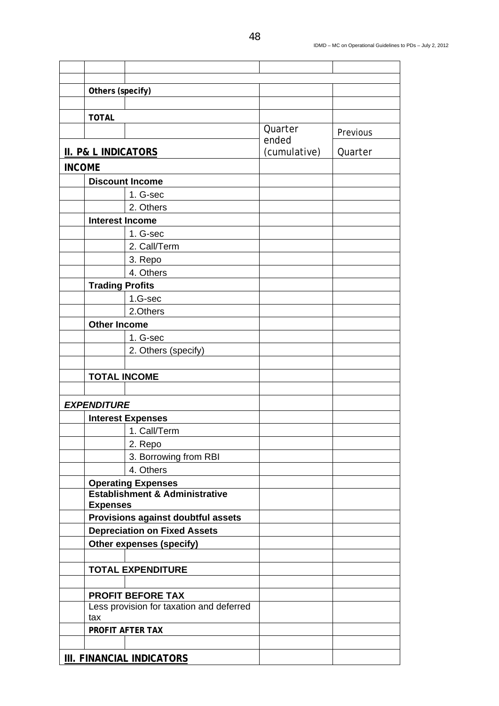|               | Others (specify)                                |                                           |              |          |
|---------------|-------------------------------------------------|-------------------------------------------|--------------|----------|
|               |                                                 |                                           |              |          |
|               | <b>TOTAL</b>                                    |                                           | Quarter      |          |
|               |                                                 |                                           | ended        | Previous |
|               | <b>II. P&amp; L INDICATORS</b>                  |                                           | (cumulative) | Quarter  |
| <b>INCOME</b> |                                                 |                                           |              |          |
|               |                                                 | <b>Discount Income</b>                    |              |          |
|               |                                                 | 1. G-sec                                  |              |          |
|               |                                                 | 2. Others                                 |              |          |
|               | <b>Interest Income</b>                          |                                           |              |          |
|               |                                                 | 1. G-sec                                  |              |          |
|               |                                                 | 2. Call/Term                              |              |          |
|               |                                                 | 3. Repo                                   |              |          |
|               |                                                 | 4. Others                                 |              |          |
|               | <b>Trading Profits</b>                          |                                           |              |          |
|               |                                                 | 1.G-sec                                   |              |          |
|               |                                                 | 2.Others                                  |              |          |
|               | <b>Other Income</b>                             |                                           |              |          |
|               |                                                 | 1. G-sec                                  |              |          |
|               |                                                 | 2. Others (specify)                       |              |          |
|               |                                                 |                                           |              |          |
|               | <b>TOTAL INCOME</b>                             |                                           |              |          |
|               |                                                 |                                           |              |          |
|               | <b>EXPENDITURE</b>                              |                                           |              |          |
|               |                                                 | <b>Interest Expenses</b>                  |              |          |
|               |                                                 | 1. Call/Term                              |              |          |
|               |                                                 | 2. Repo                                   |              |          |
|               |                                                 | 3. Borrowing from RBI                     |              |          |
|               |                                                 | 4. Others                                 |              |          |
|               | <b>Operating Expenses</b>                       |                                           |              |          |
|               | <b>Expenses</b>                                 | <b>Establishment &amp; Administrative</b> |              |          |
|               |                                                 | Provisions against doubtful assets        |              |          |
|               | <b>Depreciation on Fixed Assets</b>             |                                           |              |          |
|               | <b>Other expenses (specify)</b>                 |                                           |              |          |
|               |                                                 |                                           |              |          |
|               |                                                 | <b>TOTAL EXPENDITURE</b>                  |              |          |
|               |                                                 |                                           |              |          |
|               |                                                 | <b>PROFIT BEFORE TAX</b>                  |              |          |
|               | Less provision for taxation and deferred<br>tax |                                           |              |          |
|               |                                                 | PROFIT AFTER TAX                          |              |          |
|               |                                                 |                                           |              |          |
|               |                                                 | III. FINANCIAL INDICATORS                 |              |          |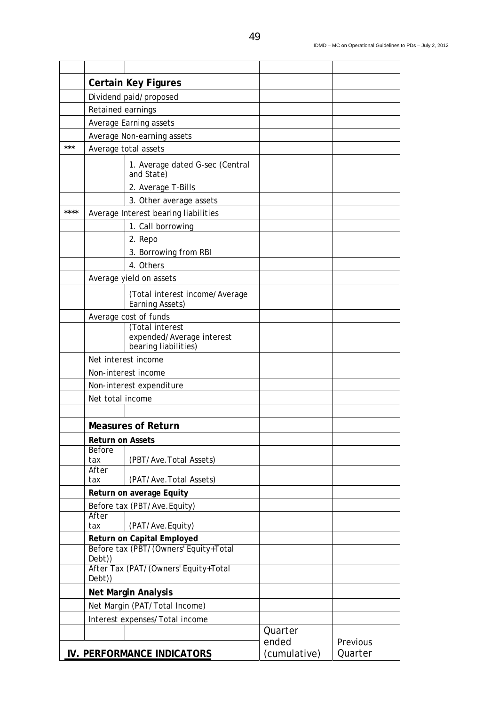|      | <b>Certain Key Figures</b>                                                    |                                                                      |                                  |                     |
|------|-------------------------------------------------------------------------------|----------------------------------------------------------------------|----------------------------------|---------------------|
|      | Dividend paid/proposed                                                        |                                                                      |                                  |                     |
|      | Retained earnings                                                             |                                                                      |                                  |                     |
|      |                                                                               | Average Earning assets                                               |                                  |                     |
|      |                                                                               | Average Non-earning assets                                           |                                  |                     |
| ***  |                                                                               | Average total assets                                                 |                                  |                     |
|      |                                                                               | 1. Average dated G-sec (Central<br>and State)                        |                                  |                     |
|      |                                                                               | 2. Average T-Bills                                                   |                                  |                     |
|      |                                                                               | 3. Other average assets                                              |                                  |                     |
| **** | Average Interest bearing liabilities                                          |                                                                      |                                  |                     |
|      |                                                                               | 1. Call borrowing                                                    |                                  |                     |
|      |                                                                               | 2. Repo                                                              |                                  |                     |
|      |                                                                               | 3. Borrowing from RBI                                                |                                  |                     |
|      |                                                                               | 4. Others                                                            |                                  |                     |
|      |                                                                               | Average yield on assets                                              |                                  |                     |
|      |                                                                               | (Total interest income/Average<br>Earning Assets)                    |                                  |                     |
|      | Average cost of funds                                                         |                                                                      |                                  |                     |
|      |                                                                               | (Total interest<br>expended/Average interest<br>bearing liabilities) |                                  |                     |
|      | Net interest income                                                           |                                                                      |                                  |                     |
|      | Non-interest income                                                           |                                                                      |                                  |                     |
|      | Non-interest expenditure                                                      |                                                                      |                                  |                     |
|      | Net total income                                                              |                                                                      |                                  |                     |
|      |                                                                               |                                                                      |                                  |                     |
|      | <b>Measures of Return</b><br><b>Return on Assets</b>                          |                                                                      |                                  |                     |
|      |                                                                               |                                                                      |                                  |                     |
|      | Before<br>tax                                                                 | (PBT/Ave. Total Assets)                                              |                                  |                     |
|      | After<br>tax                                                                  | (PAT/Ave. Total Assets)                                              |                                  |                     |
|      | Return on average Equity                                                      |                                                                      |                                  |                     |
|      |                                                                               | Before tax (PBT/Ave.Equity)                                          |                                  |                     |
|      | After<br>tax                                                                  | (PAT/Ave.Equity)                                                     |                                  |                     |
|      | Return on Capital Employed<br>Before tax (PBT/(Owners' Equity+Total<br>Debt)) |                                                                      |                                  |                     |
|      |                                                                               |                                                                      |                                  |                     |
|      | After Tax (PAT/(Owners' Equity+Total<br>Debt))                                |                                                                      |                                  |                     |
|      | <b>Net Margin Analysis</b>                                                    |                                                                      |                                  |                     |
|      | Net Margin (PAT/Total Income)                                                 |                                                                      |                                  |                     |
|      |                                                                               | Interest expenses/Total income                                       |                                  |                     |
|      |                                                                               | <b>IV. PERFORMANCE INDICATORS</b>                                    | Quarter<br>ended<br>(cumulative) | Previous<br>Quarter |
|      |                                                                               |                                                                      |                                  |                     |